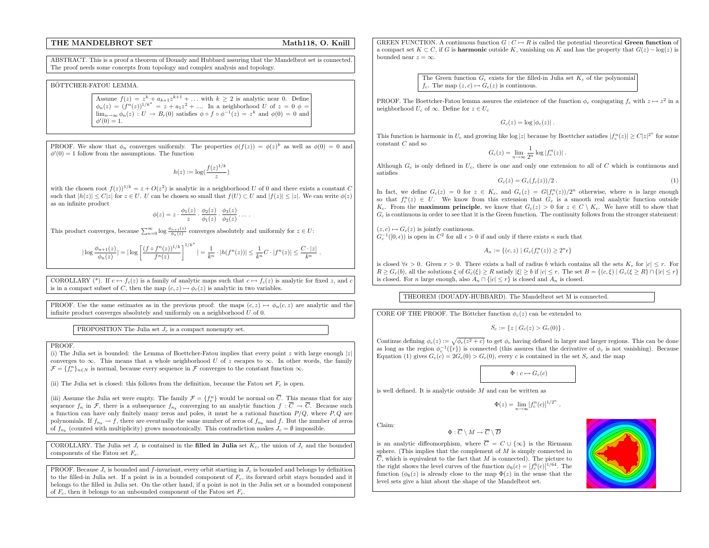# THE MANDELBROT

# Math118, O. Knill

ABSTRACT. This is <sup>a</sup> proof <sup>a</sup> theorem of Douady and Hubbard assuring that the Mandelbrot set is connected. The proof needs some concepts from topology and complex analysis and topology.

## BÖTTCHER-FATOU LEMMA.

Assume  $f(z) = z^k + a_{k+1}z^{k+1} + ...$  with  $k \ge 2$  is analytic near 0. Define  $\phi_n(z) = (f^n(z))^{1/k^n} = z + a_1z^2 + ...$  In a neighborhood U of  $z = 0$   $\phi =$  $\lim_{n\to\infty}\phi_n(z) : U \to B_r(0)$  satisfies  $\phi \circ f \circ \phi^{-1}(z) = z^k$  and  $\phi(0) = 0$  and  $\phi'(0) = 1.$ 

PROOF. We show that  $\phi_n$  converges uniformly. The properties  $\phi(f(z)) = \phi(z)^k$  as well as  $\phi(0) = 0$  and  $\phi'(0) = 1$  follow from the assumptions. The function

$$
h(z) := \log(\frac{f(z)^{1/k}}{z})
$$

with the chosen root  $f(z)^{1/k} = z + O(z^2)$  is analytic in a neighborhood U of 0 and there exists a constant C such that  $|h(z)| \leq C|z|$  for  $z \in U$ . U can be chosen so small that  $f(U) \subset U$  and  $|f(z)| \leq |z|$ . We can write  $\phi(z)$ as an infinite product

$$
\phi(z) = z \cdot \frac{\phi_1(z)}{z} \cdot \frac{\phi_2(z)}{\phi_1(z)} \cdot \frac{\phi_3(z)}{\phi_2(z)} \dots
$$

This product converges, because  $\sum_{n=0}^{\infty} \log \frac{\phi_{n+1}(z)}{\phi_n(z)}$  converges absolutely and uniformly for  $z \in U$ :

$$
|\log \frac{\phi_{n+1}(z)}{\phi_n(z)}| = |\log \left[\frac{(f \circ f^n(z))^{1/k}}{f^n(z)}\right]^{1/k^n} | = \frac{1}{k^n} \cdot |h(f^n(z))| \le \frac{1}{k^n}C \cdot |f^n(z)| \le \frac{C \cdot |z|}{k^n}.
$$

COROLLARY (\*). If  $c \mapsto f_c(z)$  is a family of analytic maps such that  $c \mapsto f_c(z)$  is analytic for fixed z, and c is in a compact subset of C, then the map  $(c, z) \mapsto \phi_c(z)$  is analytic in two variables.

PROOF. Use the same estimates as in the previous proof: the maps  $(c, z) \mapsto \phi_n(c, z)$  are analytic and the infinite product converges absolutely and uniformly on a neighborhood  $U$  of 0.

PROPOSITION The Julia set  $J_c$  is a compact nonempty set.

# **PROOF.**

(i) The Julia set is bounded: the Lemma of Boettcher-Fatou implies that every point z with large enough |z converges to  $\infty$ . This means that a whole neighborhood U of z escapes to  $\infty$ . In other words, the family  $\mathcal{F}={f_{c}^{n}}_{n\in\mathbb{N}}$  is normal, because every sequence in  $\mathcal{F}$  converges to the constant function  $\infty$ .

(ii) The Julia set is closed: this follows from the definition, because the Fatou set  $F_c$  is open.

(iii) Assume the Julia set were empty. The family  $\mathcal{F} = \{f_c^n\}$  would be normal on C. This means that for any sequence  $f_n$  in F, there is a subsequence  $f_{n_k}$  converging to an analytic function  $f: C \to C$ . Because such a function can have only finitely many zeros and poles, it must be a rational function  $P/Q$ , where  $P,Q$  are polynomials. If  $f_{n_k} \to f$ , there are eventually the same number of zeros of  $f_{n_k}$  and f. But the number of zeros of  $f_{n_k}$  (counted with multiplicity) grows monotonically. This contradiction makes  $J_c = \emptyset$  impossible.

COROLLARY. The Julia set  $J_c$  is contained in the filled in Julia set  $K_c$ , the union of  $J_c$  and the bounded components of the Fatou set  $F_c$ .

PROOF. Because  $J_c$  is bounded and f-invariant, every orbit starting in  $J_c$  is bounded and belongs by definition to the filled-in Julia set. If a point is in a bounded component of  $F_c$ , its forward orbit stays bounded and it belongs to the filled in Julia set. On the other hand, if <sup>a</sup> point is not in the Julia set or <sup>a</sup> bounded component of  $F_c$ , then it belongs to an unbounded component of the Fatou set  $F_c$ .

GREEN FUNCTION. A continuous function  $G: C \mapsto R$  is called the potential theoretical Green function of a compact set  $K \subset C$ , if G is **harmonic** outside K, vanishing on K and has the property that  $G(z) - \log(z)$  is bounded near  $z = \infty$ .

> The Green function  $G_c$  exists for the filled-in Julia set  $K_c$  of the polynomial  $f_c$ . The map  $(z, c) \mapsto G_c(z)$  is continuous.

PROOF. The Boettcher-Fatou lemma assures the existence of the function  $\phi_c$  conjugating  $f_c$  with  $z \mapsto z^2$  in a neighborhood  $U_c$  of  $\infty$ . Define for  $z \in U_c$ 

 $G_c(z) = \log |\phi_c(z)|$ .

This function is harmonic in  $U_c$  and growing like  $|\log |z|$  because by Boettcher satisfies  $|f_c^n(z)| \geq C|z|^{2^n}$  for some constant  $C$  and so

$$
G_c(z) = \lim_{n \to \infty} \frac{1}{2^n} \log |f_c^n(z)|.
$$

Although  $G_c$  is only defined in  $U_c$ , there is one and only one extension to all of C which is continuous and satisfies

$$
G_c(z) = G_c(f_c(z))/2.
$$
\n
$$
(1)
$$

In fact, we define  $G_c(z) = 0$  for  $z \in K_c$ , and  $G_c(z) = G(f_c^n(z))/2^n$  otherwise, where n is large enough so that  $f_c^n(z) \in U$ . We know from this extension that  $G_c$  is a smooth real analytic function outside  $K_c$ . From the **maximum principle**, we know that  $G_c(z) > 0$  for  $z \in C \setminus K_c$ . We have still to show that  $G_c$  is continuous in order to see that it is the Green function. The continuity follows from the stronger statement:

 $(z, c) \mapsto G_c(z)$  is jointly continuous.

 $G_c^{-1}([0, \epsilon))$  is open in  $C^2$  for all  $\epsilon > 0$  if and only if there exists n such that

 $A_n := \{(c, z) | G_c(f_c^n(z)) \geq 2^n \epsilon\}$ 

is closed  $\forall \epsilon > 0$ . Given  $r > 0$ . There exists a ball of radius b which contains all the sets  $K_c$  for  $|c| \leq r$ . For  $R \geq G_r(b)$ , all the solutions  $\xi$  of  $G_c(\xi) \geq R$  satisfy  $|\xi| \geq b$  if  $|c| \leq r$ . The set  $B = \{(c, \xi) \mid G_c(\xi) \geq R\} \cap \{|c| \leq r\}$ is closed. For *n* large enough, also  $A_n \cap \{|c| \leq r\}$  is closed and  $A_n$  is closed.

THEOREM (DOUADY-HUBBARD). The Mandelbrot set M is connected.

CORE OF THE PROOF. The Böttcher function  $\phi_c(z)$  can be extended to

 $S_c := \{z \mid G_c(z) > G_c(0)\}\.$ 

Continue defining  $\phi_c(z) := \sqrt{\phi_c(z^2 + c)}$  to get  $\phi_c$  having defined in larger and larger regions. This can be done as long as the region  $\phi_c^{-1}(\{r\})$  is connected (this assures that the derivative of  $\phi_c$  is not vanishing). Because Equation (1) gives  $G_c(c) = 2G_c(0) > G_c(0)$ , every c is contained in the set  $S_c$  and the map

 $\Phi: c \mapsto G_c(c)$ 

is well defined. It is analytic outside  $M$  and can be written as

$$
\Phi(z) = \lim_{n \to \infty} [f_c^n(c)]^{1/2^n}
$$

Claim:

is an analytic diffeomorphism, where  $C = C \cup \{\infty\}$  is the Riemann sphere. (This implies that the complement of  $M$  is simply connected in  $C$ , which is equivalent to the fact that  $M$  is connected). The picture to the right shows the level curves of the function  $\phi_6(c) = [f_c^6(c)]^{1/64}$ . The function  $(\phi_6(z)$  is already close to the map  $\Phi(z)$  in the sense that the level sets give <sup>a</sup> hint about the shape of the Mandelbrot set.

 $\Phi : C \setminus M \to C \setminus D$